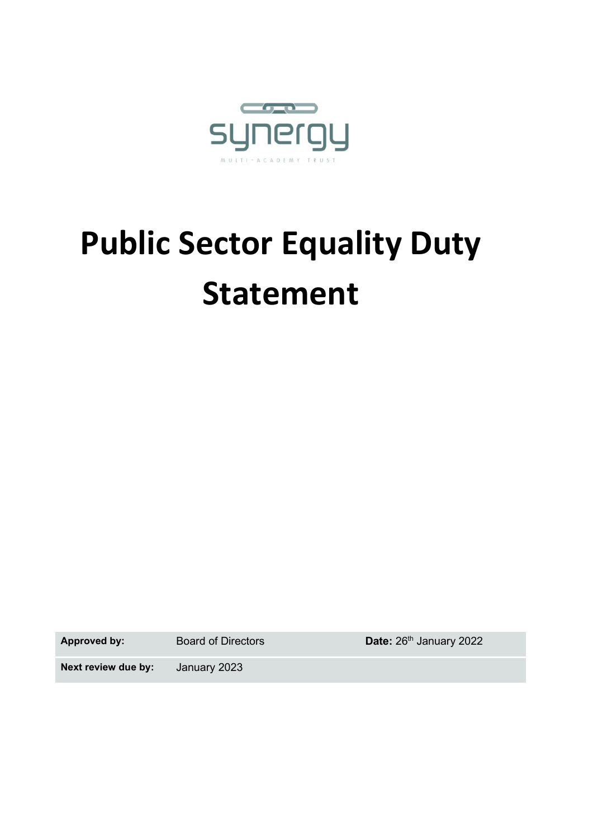

# **Public Sector Equality Duty Statement**

Approved by: Board of Directors **Date:** 26<sup>th</sup> January 2022

**Next review due by:** January 2023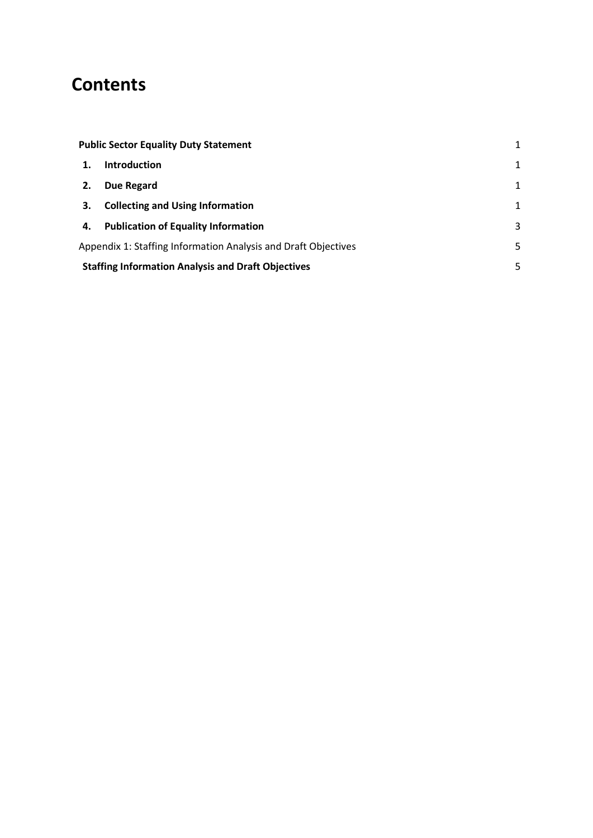# **Contents**

|                                                                | <b>Public Sector Equality Duty Statement</b> | $\mathbf{1}$ |  |
|----------------------------------------------------------------|----------------------------------------------|--------------|--|
|                                                                | <b>Introduction</b>                          | $\mathbf{1}$ |  |
| 2.                                                             | Due Regard                                   | $\mathbf{1}$ |  |
| 3.                                                             | <b>Collecting and Using Information</b>      | 1            |  |
| 4.                                                             | <b>Publication of Equality Information</b>   | 3            |  |
| Appendix 1: Staffing Information Analysis and Draft Objectives |                                              |              |  |
| <b>Staffing Information Analysis and Draft Objectives</b>      |                                              |              |  |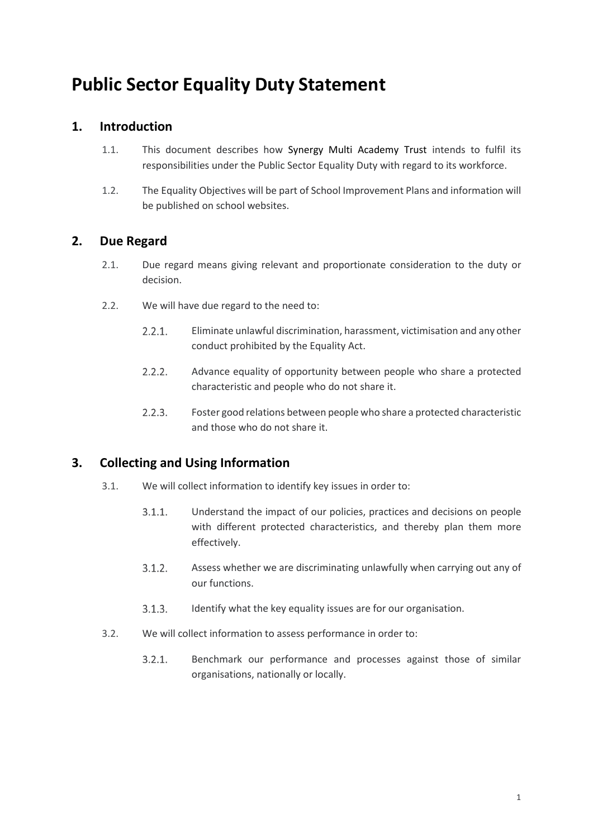# <span id="page-2-0"></span>**Public Sector Equality Duty Statement**

## <span id="page-2-1"></span>**1. Introduction**

- 1.1. This document describes how Synergy Multi Academy Trust intends to fulfil its responsibilities under the Public Sector Equality Duty with regard to its workforce.
- 1.2. The Equality Objectives will be part of School Improvement Plans and information will be published on school websites.

## <span id="page-2-2"></span>**2. Due Regard**

- 2.1. Due regard means giving relevant and proportionate consideration to the duty or decision.
- 2.2. We will have due regard to the need to:
	- $2.2.1.$ Eliminate unlawful discrimination, harassment, victimisation and any other conduct prohibited by the Equality Act.
	- $2.2.2.$ Advance equality of opportunity between people who share a protected characteristic and people who do not share it.
	- $2.2.3.$ Foster good relations between people who share a protected characteristic and those who do not share it.

# <span id="page-2-3"></span>**3. Collecting and Using Information**

- 3.1. We will collect information to identify key issues in order to:
	- $3.1.1.$ Understand the impact of our policies, practices and decisions on people with different protected characteristics, and thereby plan them more effectively.
	- $3.1.2.$ Assess whether we are discriminating unlawfully when carrying out any of our functions.
	- $3.1.3.$ Identify what the key equality issues are for our organisation.
- 3.2. We will collect information to assess performance in order to:
	- $3.2.1.$ Benchmark our performance and processes against those of similar organisations, nationally or locally.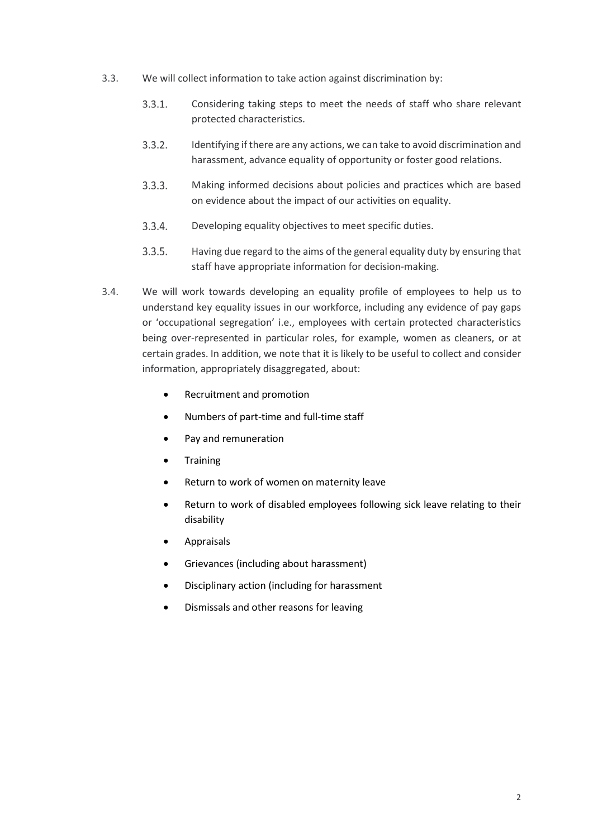- 3.3. We will collect information to take action against discrimination by:
	- $3.3.1.$ Considering taking steps to meet the needs of staff who share relevant protected characteristics.
	- $3.3.2.$ Identifying if there are any actions, we can take to avoid discrimination and harassment, advance equality of opportunity or foster good relations.
	- $3.3.3.$ Making informed decisions about policies and practices which are based on evidence about the impact of our activities on equality.
	- $3.3.4.$ Developing equality objectives to meet specific duties.
	- $3.3.5.$ Having due regard to the aims of the general equality duty by ensuring that staff have appropriate information for decision-making.
- 3.4. We will work towards developing an equality profile of employees to help us to understand key equality issues in our workforce, including any evidence of pay gaps or 'occupational segregation' i.e., employees with certain protected characteristics being over-represented in particular roles, for example, women as cleaners, or at certain grades. In addition, we note that it is likely to be useful to collect and consider information, appropriately disaggregated, about:
	- Recruitment and promotion
	- Numbers of part-time and full-time staff
	- Pay and remuneration
	- **Training**
	- Return to work of women on maternity leave
	- Return to work of disabled employees following sick leave relating to their disability
	- Appraisals
	- Grievances (including about harassment)
	- Disciplinary action (including for harassment
	- Dismissals and other reasons for leaving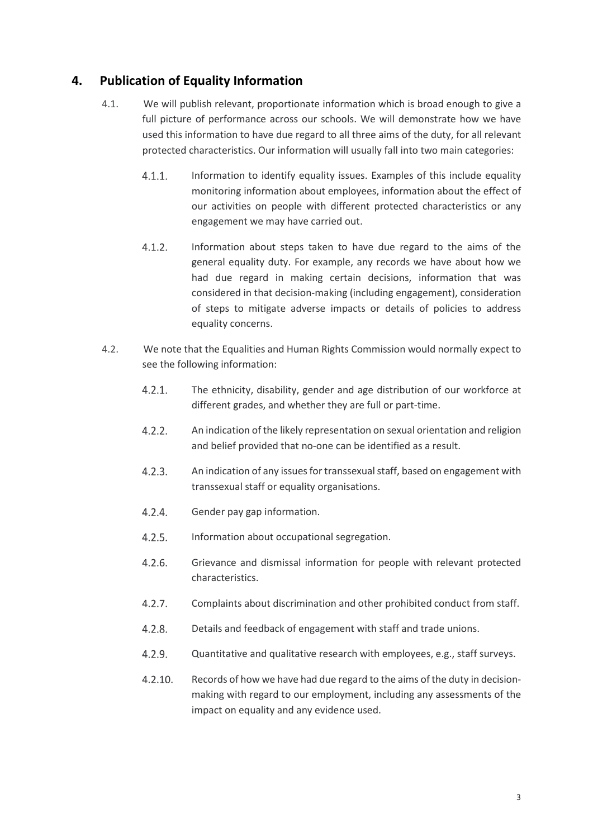## <span id="page-4-0"></span>**4. Publication of Equality Information**

- 4.1. We will publish relevant, proportionate information which is broad enough to give a full picture of performance across our schools. We will demonstrate how we have used this information to have due regard to all three aims of the duty, for all relevant protected characteristics. Our information will usually fall into two main categories:
	- $4.1.1.$ Information to identify equality issues. Examples of this include equality monitoring information about employees, information about the effect of our activities on people with different protected characteristics or any engagement we may have carried out.
	- $4.1.2.$ Information about steps taken to have due regard to the aims of the general equality duty. For example, any records we have about how we had due regard in making certain decisions, information that was considered in that decision-making (including engagement), consideration of steps to mitigate adverse impacts or details of policies to address equality concerns.
- 4.2. We note that the Equalities and Human Rights Commission would normally expect to see the following information:
	- $4.2.1.$ The ethnicity, disability, gender and age distribution of our workforce at different grades, and whether they are full or part-time.
	- $4.2.2.$ An indication of the likely representation on sexual orientation and religion and belief provided that no-one can be identified as a result.
	- $4.2.3.$ An indication of any issues for transsexual staff, based on engagement with transsexual staff or equality organisations.
	- $4.2.4.$ Gender pay gap information.
	- $4.2.5.$ Information about occupational segregation.
	- $4.2.6.$ Grievance and dismissal information for people with relevant protected characteristics.
	- $4.2.7.$ Complaints about discrimination and other prohibited conduct from staff.
	- $4.2.8.$ Details and feedback of engagement with staff and trade unions.
	- $4.2.9.$ Quantitative and qualitative research with employees, e.g., staff surveys.
	- $4.2.10.$ Records of how we have had due regard to the aims of the duty in decisionmaking with regard to our employment, including any assessments of the impact on equality and any evidence used.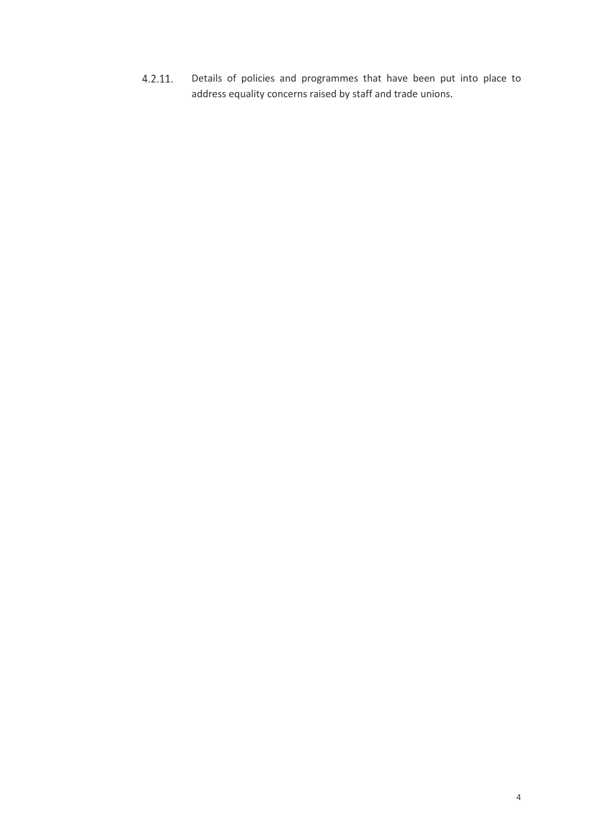Details of policies and programmes that have been put into place to  $4.2.11.$ address equality concerns raised by staff and trade unions.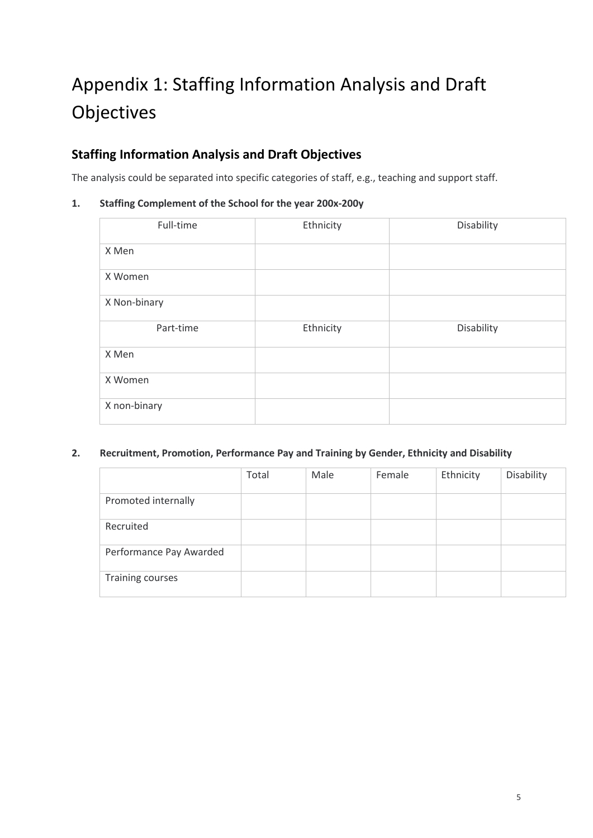# <span id="page-6-0"></span>Appendix 1: Staffing Information Analysis and Draft **Objectives**

# <span id="page-6-1"></span>**Staffing Information Analysis and Draft Objectives**

The analysis could be separated into specific categories of staff, e.g., teaching and support staff.

### **1. Staffing Complement of the School for the year 200x-200y**

| Full-time    | Ethnicity | Disability |
|--------------|-----------|------------|
| X Men        |           |            |
| X Women      |           |            |
| X Non-binary |           |            |
| Part-time    | Ethnicity | Disability |
| X Men        |           |            |
| X Women      |           |            |
| X non-binary |           |            |

### **2. Recruitment, Promotion, Performance Pay and Training by Gender, Ethnicity and Disability**

|                         | Total | Male | Female | Ethnicity | Disability |
|-------------------------|-------|------|--------|-----------|------------|
| Promoted internally     |       |      |        |           |            |
| Recruited               |       |      |        |           |            |
| Performance Pay Awarded |       |      |        |           |            |
| Training courses        |       |      |        |           |            |